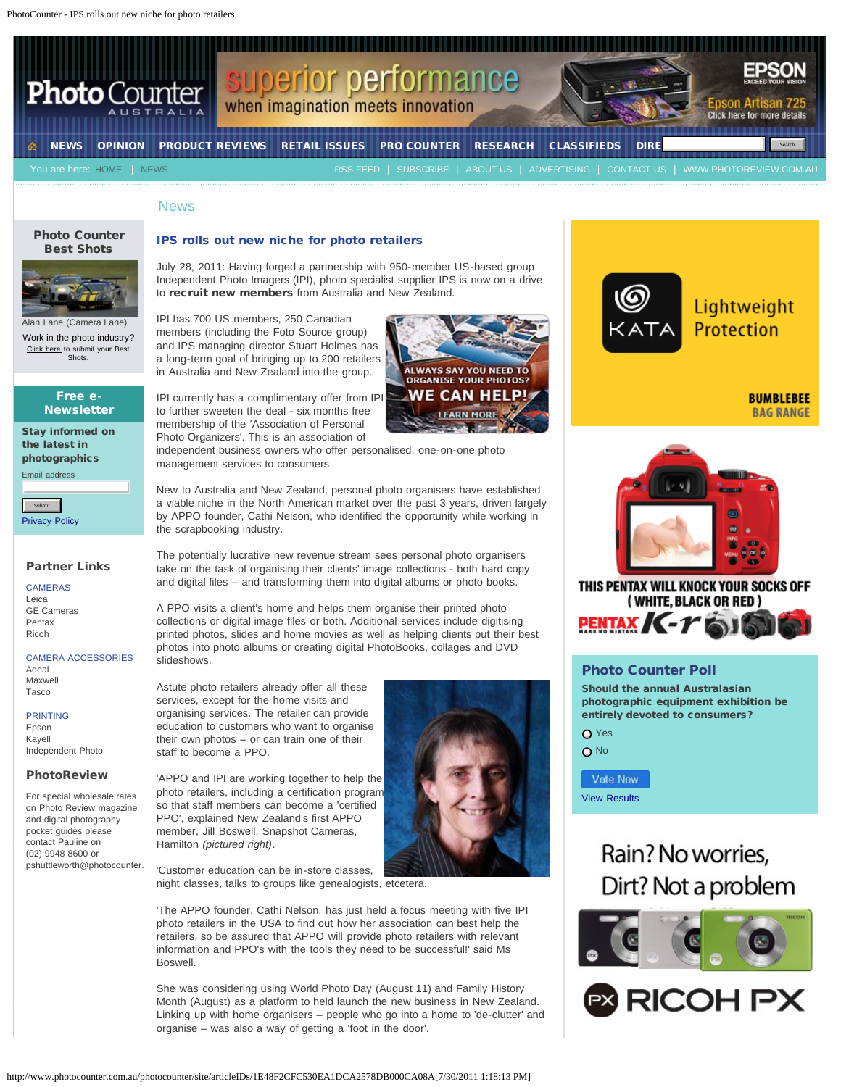PhotoCounter - IPS rolls out new niche for photo retailers



#### News

## [Photo Counter](http://bit.ly/bestshots) [Best Shots](http://bit.ly/bestshots)



an Lane (Camera Lane) Work in the photo industry? [Click here](http://gallery.photoreview.com.au/login/signin) to submit your Best **Shots.** 

## Free e-**Newsletter**

Stay informed on the latest in photographics Email address

[Privacy Policy](http://www.photocounter.com.au/photocounter/site/libraries/Privacy+Policy+&+Legal+Notice)

## Partner Links

CAMERAS [Leica](http://www.adeal.com.au/) [GE Cameras](http://www.gecameras.com.au/index.html) [Pentax](http://www.pentax.com.au/pentax/) [Ricoh](http://www.tasco.com.au/Products/tabid/59/ProductID/1101/List/0/Default.aspx)

CAMERA ACCESSORIES [Adeal](http://www.adeal.com.au/)

[Maxwell](http://maxwell.com.au/index.html) [Tasco](http://www.tasco.com.au/)

### PRINTING

[Epson](http://www.epson.com.au/) [Kayell](http://www.kayell.com.au/) [Independent Photo](https://www.iphoto.net.au/)

## PhotoReview

For special wholesale rates on Photo Review magazine and digital photography pocket guides please contact Pauline on (02) 9948 8600 or pshuttleworth@photocounter.

## IPS rolls out new niche for photo retailers

July 28, 2011: Having forged a partnership with 950-member US-based group Independent Photo Imagers (IPI), photo specialist supplier IPS is now on a drive to recruit new members from Australia and New Zealand.

IPI has 700 US members, 250 Canadian members (including the Foto Source group) and IPS managing director Stuart Holmes has a long-term goal of bringing up to 200 retailers in Australia and New Zealand into the group.

IPI currently has a complimentary offer from IPI to further sweeten the deal - six months free membership of the 'Association of Personal Photo Organizers'. This is an association of

independent business owners who offer personalised, one-on-one photo management services to consumers.

New to Australia and New Zealand, personal photo organisers have established a viable niche in the North American market over the past 3 years, driven largely by APPO founder, Cathi Nelson, who identified the opportunity while working in the scrapbooking industry.

The potentially lucrative new revenue stream sees personal photo organisers take on the task of organising their clients' image collections - both hard copy and digital files – and transforming them into digital albums or photo books.

A PPO visits a client's home and helps them organise their printed photo collections or digital image files or both. Additional services include digitising printed photos, slides and home movies as well as helping clients put their best photos into photo albums or creating digital PhotoBooks, collages and DVD slideshows.

Astute photo retailers already offer all these services, except for the home visits and organising services. The retailer can provide education to customers who want to organise their own photos – or can train one of their staff to become a PPO.

so that staff members can become a 'certified PPO', explained New Zealand's first APPO member, Jill Boswell, Snapshot Cameras,

Hamilton *(pictured right)*.



'Customer education can be in-store classes, night classes, talks to groups like genealogists, etcetera.

'The APPO founder, Cathi Nelson, has just held a focus meeting with five IPI photo retailers in the USA to find out how her association can best help the retailers, so be assured that APPO will provide photo retailers with relevant information and PPO's with the tools they need to be successful!' said Ms Boswell.

She was considering using World Photo Day (August 11) and Family History Month (August) as a platform to held launch the new business in New Zealand. Linking up with home organisers – people who go into a home to 'de-clutter' and organise – was also a way of getting a 'foot in the door'.





THIS PENTAX WILL KNOCK YOUR SOCKS OFF (WHITE, BLACK OR RED) PENTAX / C-T 61

## Photo Counter Poll

Should the annual Australasian photographic equipment exhibition be entirely devoted to consumers?

**O** Yes O<sub>No</sub>

Vote Now [View Results](http://www.photocounter.com.au/photocounter/site/libraries/Poll+results?open)

## Rain? No worries, Dirt? Not a problem



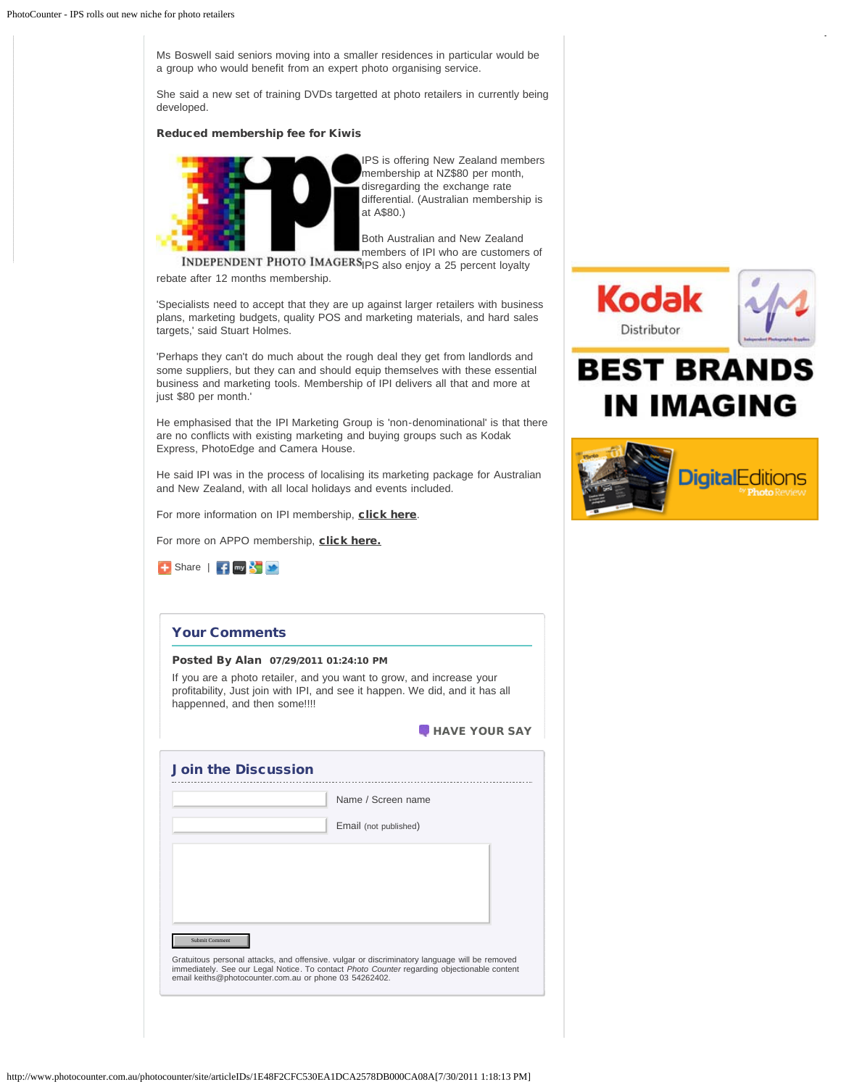Ms Boswell said seniors moving into a smaller residences in particular would be a group who would benefit from an expert photo organising service.

She said a new set of training DVDs targetted at photo retailers in currently being developed.

## Reduced membership fee for Kiwis



IPS is offering New Zealand members membership at NZ\$80 per month, disregarding the exchange rate differential. (Australian membership is at A\$80.)

Both Australian and New Zealand members of IPI who are customers of

INDEPENDENT PHOTO IMAGERS<sub>IPS</sub> also enjoy a 25 percent loyalty rebate after 12 months membership.

'Specialists need to accept that they are up against larger retailers with business plans, marketing budgets, quality POS and marketing materials, and hard sales targets,' said Stuart Holmes.

'Perhaps they can't do much about the rough deal they get from landlords and some suppliers, but they can and should equip themselves with these essential business and marketing tools. Membership of IPI delivers all that and more at just \$80 per month.'

He emphasised that the IPI Marketing Group is 'non-denominational' is that there are no conflicts with existing marketing and buying groups such as Kodak Express, PhotoEdge and Camera House.

He said IPI was in the process of localising its marketing package for Australian and New Zealand, with all local holidays and events included.

For more information on IPI membership, [click here](https://www.iphoto.net.au/ipi.aspx).

For more on APPO membership, [click here.](http://www.personal-photo-organizer.com/ipi/)



## Your Comments

#### Posted By Alan 07/29/2011 01:24:10 PM

If you are a photo retailer, and you want to grow, and increase your profitability, Just join with IPI, and see it happen. We did, and it has all happenned, and then some!!!!

| <b>HAVE YOUR SAY</b> |
|----------------------|
|----------------------|

|                                                        | Name / Screen name                                                                                                                                                                           |
|--------------------------------------------------------|----------------------------------------------------------------------------------------------------------------------------------------------------------------------------------------------|
|                                                        | Email (not published)                                                                                                                                                                        |
|                                                        |                                                                                                                                                                                              |
|                                                        |                                                                                                                                                                                              |
|                                                        |                                                                                                                                                                                              |
| Submit Comment                                         |                                                                                                                                                                                              |
| email keiths@photocounter.com.au or phone 03 54262402. | Gratuitous personal attacks, and offensive, vulgar or discriminatory language will be removed<br>immediately. See our Legal Notice. To contact Photo Counter regarding objectionable content |



# **BEST BRANDS IN IMAGING**